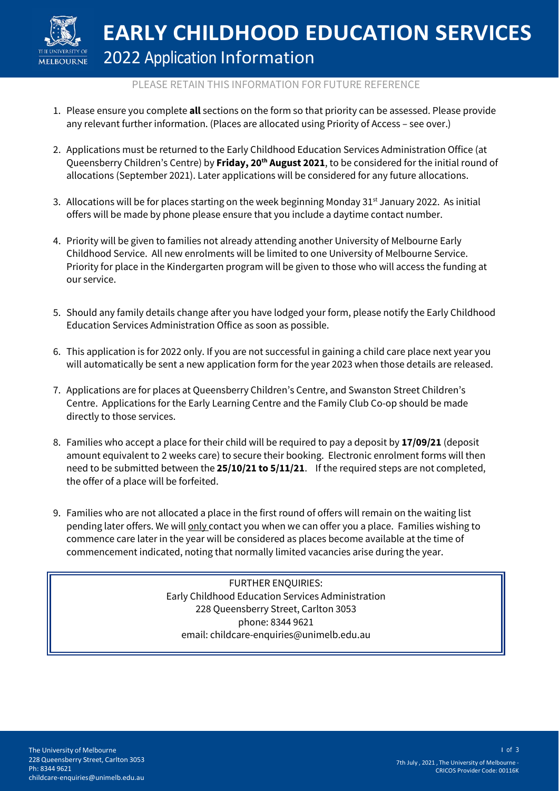

# PLEASE RETAIN THIS INFORMATION FOR FUTURE REFERENCE

- 1. Please ensure you complete **all** sections on the form so that priority can be assessed. Please provide any relevant further information. (Places are allocated using Priority of Access – see over.)
- 2. Applications must be returned to the Early Childhood Education Services Administration Office (at Queensberry Children's Centre) by **Friday, 20th August 2021**, to be considered for the initial round of allocations (September 2021). Later applications will be considered for any future allocations.
- 3. Allocations will be for places starting on the week beginning Monday  $31<sup>st</sup>$  January 2022. As initial offers will be made by phone please ensure that you include a daytime contact number.
- 4. Priority will be given to families not already attending another University of Melbourne Early Childhood Service. All new enrolments will be limited to one University of Melbourne Service. Priority for place in the Kindergarten program will be given to those who will access the funding at our service.
- 5. Should any family details change after you have lodged your form, please notify the Early Childhood Education Services Administration Office as soon as possible.
- 6. This application is for 2022 only. If you are not successful in gaining a child care place next year you will automatically be sent a new application form for the year 2023 when those details are released.
- 7. Applications are for places at Queensberry Children's Centre, and Swanston Street Children's Centre. Applications for the Early Learning Centre and the Family Club Co-op should be made directly to those services.
- 8. Families who accept a place for their child will be required to pay a deposit by **17/09/21** (deposit amount equivalent to 2 weeks care) to secure their booking. Electronic enrolment forms will then need to be submitted between the **25/10/21 to 5/11/21**. If the required steps are not completed, the offer of a place will be forfeited.
- 9. Families who are not allocated a place in the first round of offers will remain on the waiting list pending later offers. We will **only** contact you when we can offer you a place. Families wishing to commence care later in the year will be considered as places become available at the time of commencement indicated, noting that normally limited vacancies arise during the year.

FURTHER ENQUIRIES: Early Childhood Education Services Administration 228 Queensberry Street, Carlton 3053 phone: 8344 9621 email: childcare-enquiries@unimelb.edu.au

1 of 3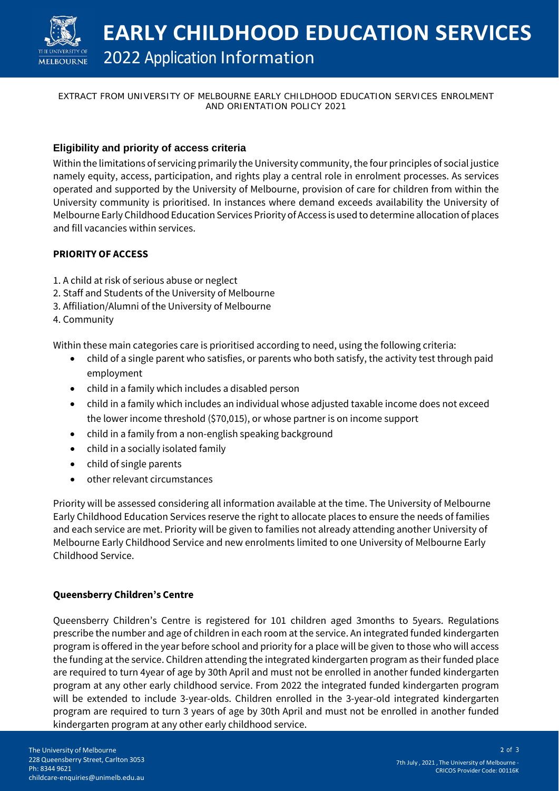

### EXTRACT FROM UNIVERSITY OF MELBOURNE EARLY CHILDHOOD EDUCATION SERVICES ENROLMENT AND ORIENTATION POLICY 2021

# **Eligibility and priority of access criteria**

Within the limitations of servicing primarily the University community, the four principles of social justice namely equity, access, participation, and rights play a central role in enrolment processes. As services operated and supported by the University of Melbourne, provision of care for children from within the University community is prioritised. In instances where demand exceeds availability the University of Melbourne Early Childhood Education Services Priority of Access is used to determine allocation of places and fill vacancies within services.

# **PRIORITY OF ACCESS**

- 1. A child at risk of serious abuse or neglect
- 2. Staff and Students of the University of Melbourne
- 3. Affiliation/Alumni of the University of Melbourne
- 4. Community

Within these main categories care is prioritised according to need, using the following criteria:

- child of a single parent who satisfies, or parents who both satisfy, the activity test through paid employment
- child in a family which includes a disabled person
- child in a family which includes an individual whose adjusted taxable income does not exceed the lower income threshold (\$70,015), or whose partner is on income support
- child in a family from a non-english speaking background
- child in a socially isolated family
- child of single parents
- other relevant circumstances

Priority will be assessed considering all information available at the time. The University of Melbourne Early Childhood Education Services reserve the right to allocate places to ensure the needs of families and each service are met. Priority will be given to families not already attending another University of Melbourne Early Childhood Service and new enrolments limited to one University of Melbourne Early Childhood Service.

### **Queensberry Children's Centre**

Queensberry Children's Centre is registered for 101 children aged 3months to 5years. Regulations prescribe the number and age of children in each room at the service. An integrated funded kindergarten program is offered in the year before school and priority for a place will be given to those who will access the funding at the service. Children attending the integrated kindergarten program as their funded place are required to turn 4year of age by 30th April and must not be enrolled in another funded kindergarten program at any other early childhood service. From 2022 the integrated funded kindergarten program will be extended to include 3-year-olds. Children enrolled in the 3-year-old integrated kindergarten program are required to turn 3 years of age by 30th April and must not be enrolled in another funded kindergarten program at any other early childhood service.

2 of 3